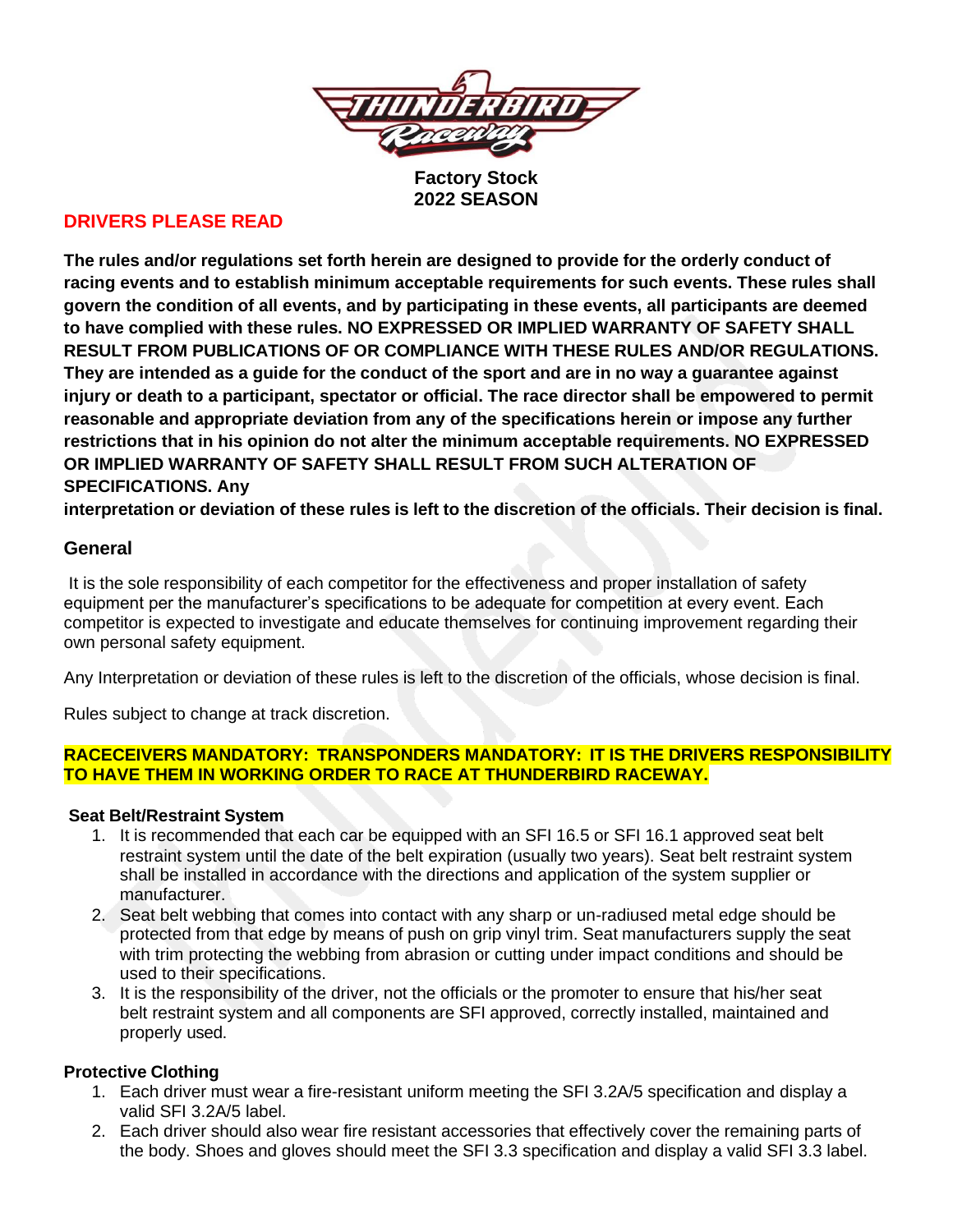

**Factory Stock 2022 SEASON**

# **DRIVERS PLEASE READ**

**The rules and/or regulations set forth herein are designed to provide for the orderly conduct of racing events and to establish minimum acceptable requirements for such events. These rules shall govern the condition of all events, and by participating in these events, all participants are deemed to have complied with these rules. NO EXPRESSED OR IMPLIED WARRANTY OF SAFETY SHALL RESULT FROM PUBLICATIONS OF OR COMPLIANCE WITH THESE RULES AND/OR REGULATIONS. They are intended as a guide for the conduct of the sport and are in no way a guarantee against injury or death to a participant, spectator or official. The race director shall be empowered to permit reasonable and appropriate deviation from any of the specifications herein or impose any further restrictions that in his opinion do not alter the minimum acceptable requirements. NO EXPRESSED OR IMPLIED WARRANTY OF SAFETY SHALL RESULT FROM SUCH ALTERATION OF SPECIFICATIONS. Any**

interpretation or deviation of these rules is left to the discretion of the officials. Their decision is final.

## **General**

It is the sole responsibility of each competitor for the effectiveness and proper installation of safety equipment per the manufacturer's specifications to be adequate for competition at every event. Each competitor is expected to investigate and educate themselves for continuing improvement regarding their own personal safety equipment.

Any Interpretation or deviation of these rules is left to the discretion of the officials, whose decision is final.

Rules subject to change at track discretion.

#### **RACECEIVERS MANDATORY: TRANSPONDERS MANDATORY: IT IS THE DRIVERS RESPONSIBILITY TO HAVE THEM IN WORKING ORDER TO RACE AT THUNDERBIRD RACEWAY.**

### **Seat Belt/Restraint System**

- 1. It is recommended that each car be equipped with an SFI 16.5 or SFI 16.1 approved seat belt restraint system until the date of the belt expiration (usually two years). Seat belt restraint system shall be installed in accordance with the directions and application of the system supplier or manufacturer.
- 2. Seat belt webbing that comes into contact with any sharp or un-radiused metal edge should be protected from that edge by means of push on grip vinyl trim. Seat manufacturers supply the seat with trim protecting the webbing from abrasion or cutting under impact conditions and should be used to their specifications.
- 3. It is the responsibility of the driver, not the officials or the promoter to ensure that his/her seat belt restraint system and all components are SFI approved, correctly installed, maintained and properly used.

### **Protective Clothing**

- 1. Each driver must wear a fire-resistant uniform meeting the SFI 3.2A/5 specification and display a valid SFI 3.2A/5 label.
- 2. Each driver should also wear fire resistant accessories that effectively cover the remaining parts of the body. Shoes and gloves should meet the SFI 3.3 specification and display a valid SFI 3.3 label.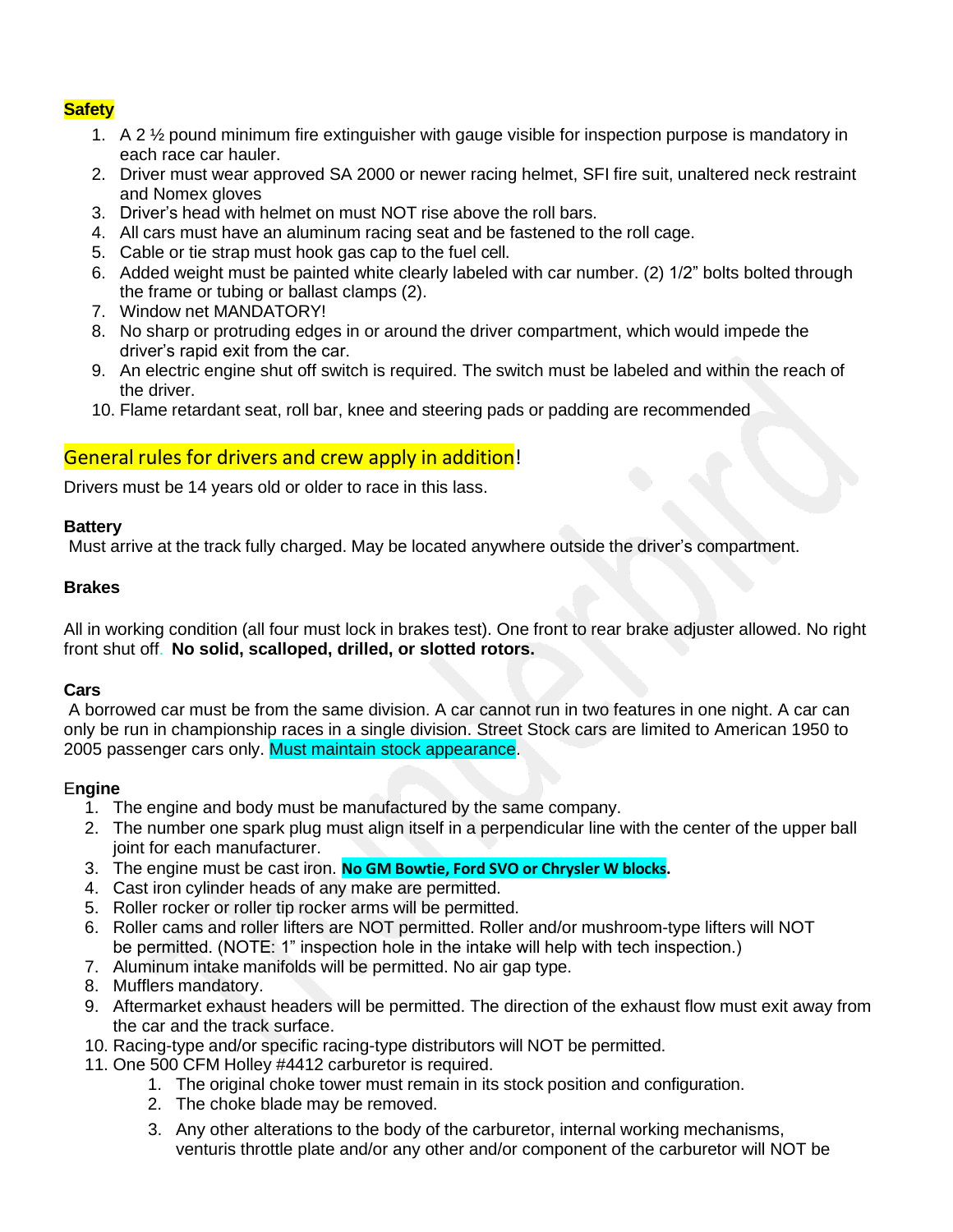## **Safety**

- 1. A 2 ½ pound minimum fire extinguisher with gauge visible for inspection purpose is mandatory in each race car hauler.
- 2. Driver must wear approved SA 2000 or newer racing helmet, SFI fire suit, unaltered neck restraint and Nomex gloves
- 3. Driver's head with helmet on must NOT rise above the roll bars.
- 4. All cars must have an aluminum racing seat and be fastened to the roll cage.
- 5. Cable or tie strap must hook gas cap to the fuel cell.
- 6. Added weight must be painted white clearly labeled with car number. (2) 1/2" bolts bolted through the frame or tubing or ballast clamps (2).
- 7. Window net MANDATORY!
- 8. No sharp or protruding edges in or around the driver compartment, which would impede the driver's rapid exit from the car.
- 9. An electric engine shut off switch is required. The switch must be labeled and within the reach of the driver.
- 10. Flame retardant seat, roll bar, knee and steering pads or padding are recommended

# General rules for drivers and crew apply in addition!

Drivers must be 14 years old or older to race in this lass.

### **Battery**

Must arrive at the track fully charged. May be located anywhere outside the driver's compartment.

### **Brakes**

All in working condition (all four must lock in brakes test). One front to rear brake adjuster allowed. No right front shut off. **No solid, scalloped, drilled, or slotted rotors.**

### **Cars**

A borrowed car must be from the same division. A car cannot run in two features in one night. A car can only be run in championship races in a single division. Street Stock cars are limited to American 1950 to 2005 passenger cars only. Must maintain stock appearance.

### E**ngine**

- 1. The engine and body must be manufactured by the same company.
- 2. The number one spark plug must align itself in a perpendicular line with the center of the upper ball joint for each manufacturer.
- 3. The engine must be cast iron. **No GM Bowtie, Ford SVO or Chrysler W blocks.**
- 4. Cast iron cylinder heads of any make are permitted.
- 5. Roller rocker or roller tip rocker arms will be permitted.
- 6. Roller cams and roller lifters are NOT permitted. Roller and/or mushroom-type lifters will NOT be permitted. (NOTE: 1" inspection hole in the intake will help with tech inspection.)
- 7. Aluminum intake manifolds will be permitted. No air gap type.
- 8. Mufflers mandatory.
- 9. Aftermarket exhaust headers will be permitted. The direction of the exhaust flow must exit away from the car and the track surface.
- 10. Racing-type and/or specific racing-type distributors will NOT be permitted.
- 11. One 500 CFM Holley #4412 carburetor is required.
	- 1. The original choke tower must remain in its stock position and configuration.
	- 2. The choke blade may be removed.
	- 3. Any other alterations to the body of the carburetor, internal working mechanisms, venturis throttle plate and/or any other and/or component of the carburetor will NOT be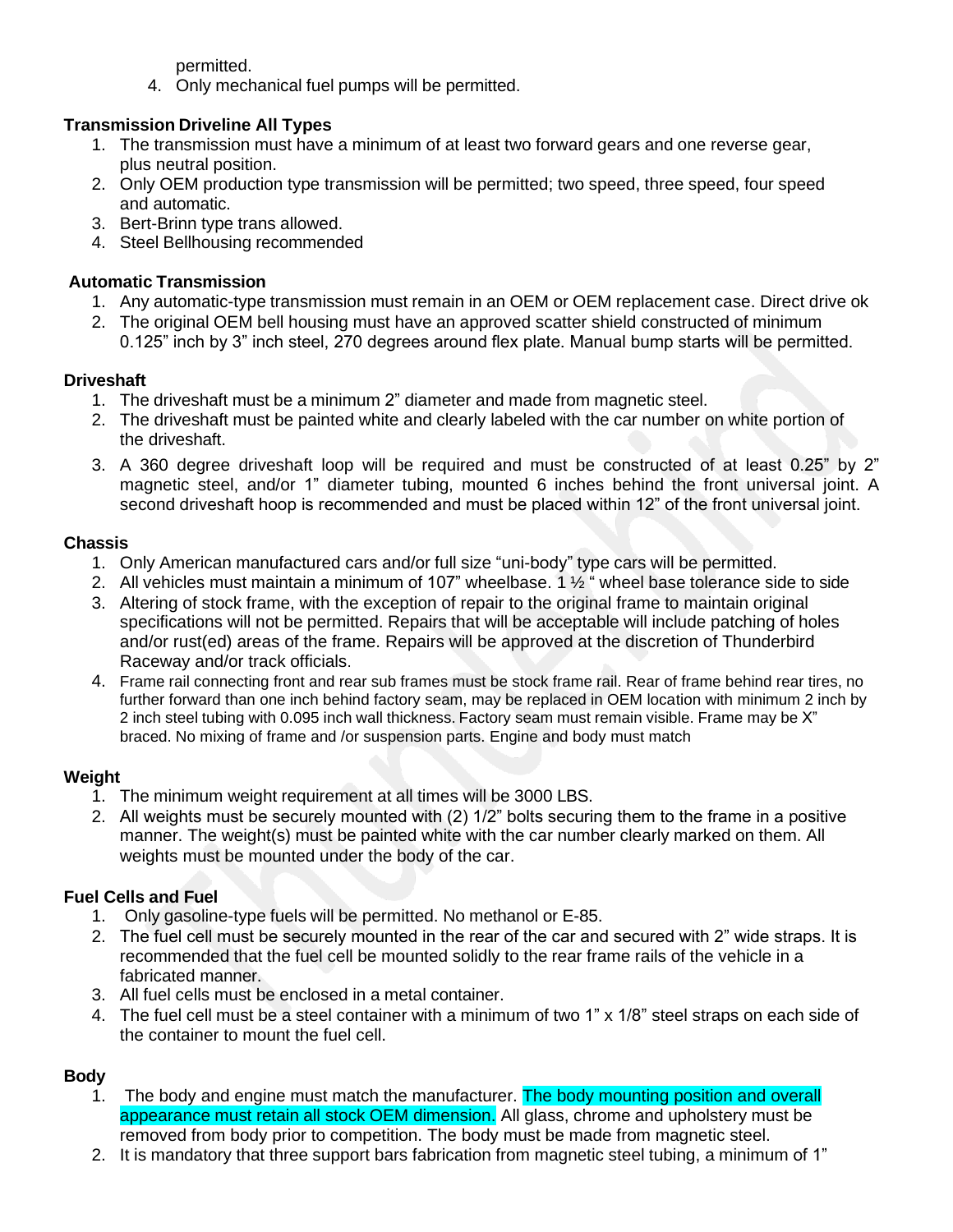permitted.

4. Only mechanical fuel pumps will be permitted.

# **Transmission Driveline All Types**

- 1. The transmission must have a minimum of at least two forward gears and one reverse gear, plus neutral position.
- 2. Only OEM production type transmission will be permitted; two speed, three speed, four speed and automatic.
- 3. Bert-Brinn type trans allowed.
- 4. Steel Bellhousing recommended

# **Automatic Transmission**

- 1. Any automatic-type transmission must remain in an OEM or OEM replacement case. Direct drive ok
- 2. The original OEM bell housing must have an approved scatter shield constructed of minimum 0.125" inch by 3" inch steel, 270 degrees around flex plate. Manual bump starts will be permitted.

## **Driveshaft**

- 1. The driveshaft must be a minimum 2" diameter and made from magnetic steel.
- 2. The driveshaft must be painted white and clearly labeled with the car number on white portion of the driveshaft.
- 3. A 360 degree driveshaft loop will be required and must be constructed of at least 0.25" by 2" magnetic steel, and/or 1" diameter tubing, mounted 6 inches behind the front universal joint. A second driveshaft hoop is recommended and must be placed within 12" of the front universal joint.

## **Chassis**

- 1. Only American manufactured cars and/or full size "uni-body" type cars will be permitted.
- 2. All vehicles must maintain a minimum of 107" wheelbase. 1  $\frac{1}{2}$  " wheel base tolerance side to side
- 3. Altering of stock frame, with the exception of repair to the original frame to maintain original specifications will not be permitted. Repairs that will be acceptable will include patching of holes and/or rust(ed) areas of the frame. Repairs will be approved at the discretion of Thunderbird Raceway and/or track officials.
- 4. Frame rail connecting front and rear sub frames must be stock frame rail. Rear of frame behind rear tires, no further forward than one inch behind factory seam, may be replaced in OEM location with minimum 2 inch by 2 inch steel tubing with 0.095 inch wall thickness. Factory seam must remain visible. Frame may be X" braced. No mixing of frame and /or suspension parts. Engine and body must match

# **Weight**

- 1. The minimum weight requirement at all times will be 3000 LBS.
- 2. All weights must be securely mounted with (2) 1/2" bolts securing them to the frame in a positive manner. The weight(s) must be painted white with the car number clearly marked on them. All weights must be mounted under the body of the car.

# **Fuel Cells and Fuel**

- 1. Only gasoline-type fuels will be permitted. No methanol or E-85.
- 2. The fuel cell must be securely mounted in the rear of the car and secured with 2" wide straps. It is recommended that the fuel cell be mounted solidly to the rear frame rails of the vehicle in a fabricated manner.
- 3. All fuel cells must be enclosed in a metal container.
- 4. The fuel cell must be a steel container with a minimum of two 1" x 1/8" steel straps on each side of the container to mount the fuel cell.

# **Body**

- 1. The body and engine must match the manufacturer. The body mounting position and overall appearance must retain all stock OEM dimension. All glass, chrome and upholstery must be removed from body prior to competition. The body must be made from magnetic steel.
- 2. It is mandatory that three support bars fabrication from magnetic steel tubing, a minimum of 1"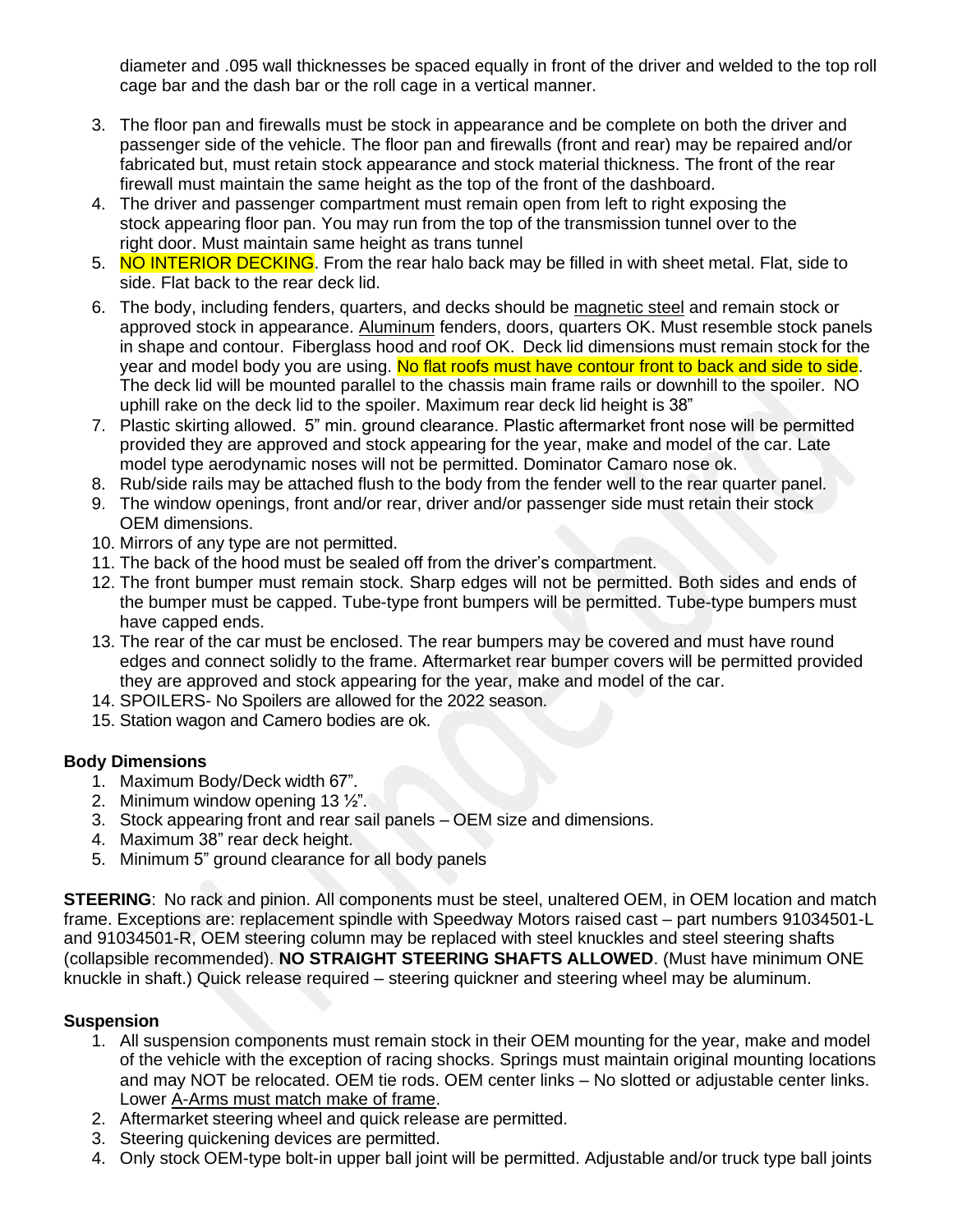diameter and .095 wall thicknesses be spaced equally in front of the driver and welded to the top roll cage bar and the dash bar or the roll cage in a vertical manner.

- 3. The floor pan and firewalls must be stock in appearance and be complete on both the driver and passenger side of the vehicle. The floor pan and firewalls (front and rear) may be repaired and/or fabricated but, must retain stock appearance and stock material thickness. The front of the rear firewall must maintain the same height as the top of the front of the dashboard.
- 4. The driver and passenger compartment must remain open from left to right exposing the stock appearing floor pan. You may run from the top of the transmission tunnel over to the right door. Must maintain same height as trans tunnel
- 5. NO INTERIOR DECKING. From the rear halo back may be filled in with sheet metal. Flat, side to side. Flat back to the rear deck lid.
- 6. The body, including fenders, quarters, and decks should be magnetic steel and remain stock or approved stock in appearance. Aluminum fenders, doors, quarters OK. Must resemble stock panels in shape and contour. Fiberglass hood and roof OK. Deck lid dimensions must remain stock for the year and model body you are using. No flat roofs must have contour front to back and side to side. The deck lid will be mounted parallel to the chassis main frame rails or downhill to the spoiler. NO uphill rake on the deck lid to the spoiler. Maximum rear deck lid height is 38"
- 7. Plastic skirting allowed. 5" min. ground clearance. Plastic aftermarket front nose will be permitted provided they are approved and stock appearing for the year, make and model of the car. Late model type aerodynamic noses will not be permitted. Dominator Camaro nose ok.
- 8. Rub/side rails may be attached flush to the body from the fender well to the rear quarter panel.
- 9. The window openings, front and/or rear, driver and/or passenger side must retain their stock OEM dimensions.
- 10. Mirrors of any type are not permitted.
- 11. The back of the hood must be sealed off from the driver's compartment.
- 12. The front bumper must remain stock. Sharp edges will not be permitted. Both sides and ends of the bumper must be capped. Tube-type front bumpers will be permitted. Tube-type bumpers must have capped ends.
- 13. The rear of the car must be enclosed. The rear bumpers may be covered and must have round edges and connect solidly to the frame. Aftermarket rear bumper covers will be permitted provided they are approved and stock appearing for the year, make and model of the car.
- 14. SPOILERS- No Spoilers are allowed for the 2022 season.
- 15. Station wagon and Camero bodies are ok.

### **Body Dimensions**

- 1. Maximum Body/Deck width 67".
- 2. Minimum window opening 13 ½".
- 3. Stock appearing front and rear sail panels OEM size and dimensions.
- 4. Maximum 38" rear deck height.
- 5. Minimum 5" ground clearance for all body panels

**STEERING:** No rack and pinion. All components must be steel, unaltered OEM, in OEM location and match frame. Exceptions are: replacement spindle with Speedway Motors raised cast – part numbers 91034501-L and 91034501-R, OEM steering column may be replaced with steel knuckles and steel steering shafts (collapsible recommended). **NO STRAIGHT STEERING SHAFTS ALLOWED**. (Must have minimum ONE knuckle in shaft.) Quick release required – steering quickner and steering wheel may be aluminum.

## **Suspension**

- 1. All suspension components must remain stock in their OEM mounting for the year, make and model of the vehicle with the exception of racing shocks. Springs must maintain original mounting locations and may NOT be relocated. OEM tie rods. OEM center links – No slotted or adjustable center links. Lower A-Arms must match make of frame.
- 2. Aftermarket steering wheel and quick release are permitted.
- 3. Steering quickening devices are permitted.
- 4. Only stock OEM-type bolt-in upper ball joint will be permitted. Adjustable and/or truck type ball joints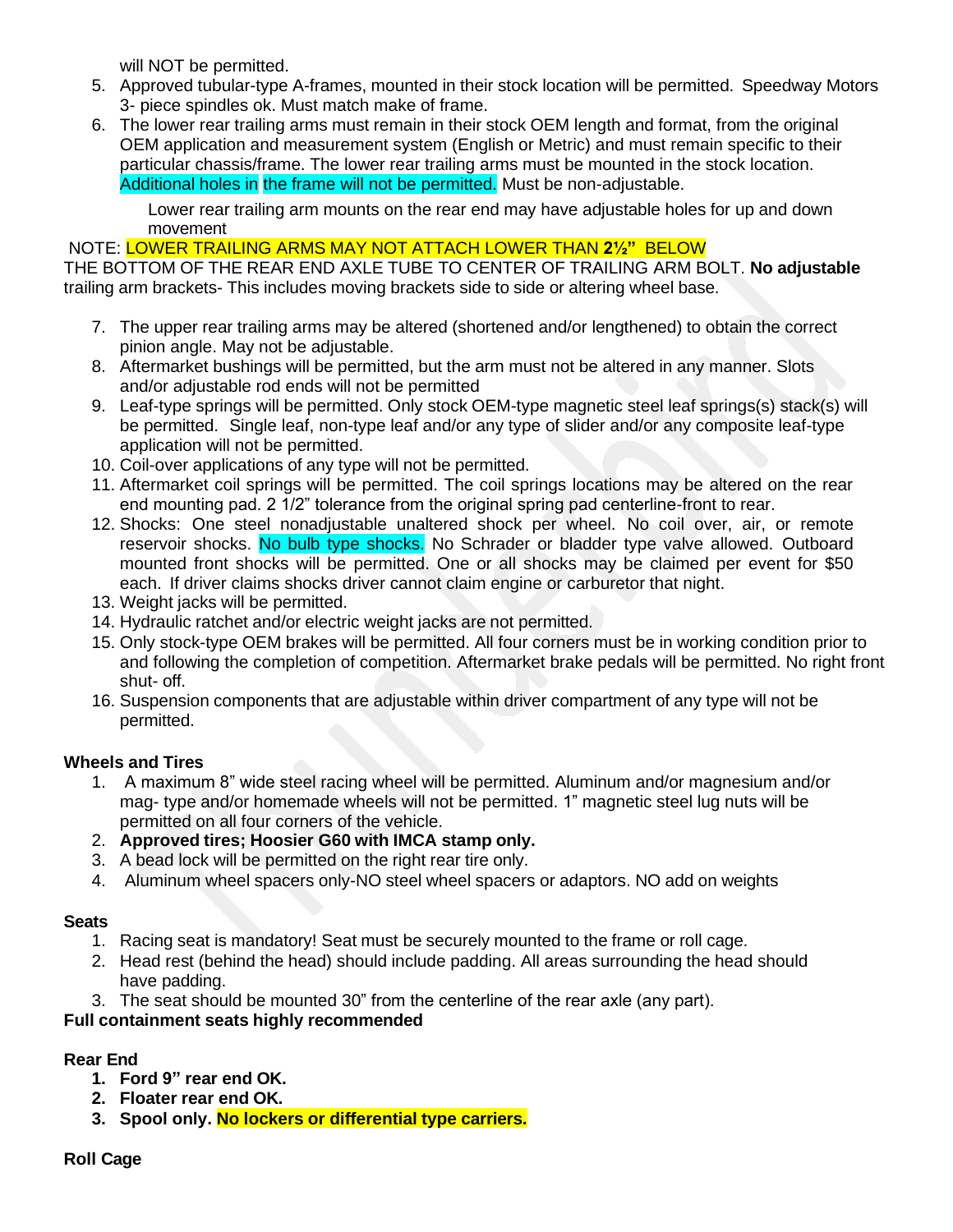will NOT be permitted.

- 5. Approved tubular-type A-frames, mounted in their stock location will be permitted. Speedway Motors 3- piece spindles ok. Must match make of frame.
- 6. The lower rear trailing arms must remain in their stock OEM length and format, from the original OEM application and measurement system (English or Metric) and must remain specific to their particular chassis/frame. The lower rear trailing arms must be mounted in the stock location. Additional holes in the frame will not be permitted. Must be non-adjustable.

Lower rear trailing arm mounts on the rear end may have adjustable holes for up and down movement

### NOTE: LOWER TRAILING ARMS MAY NOT ATTACH LOWER THAN **2½"** BELOW

THE BOTTOM OF THE REAR END AXLE TUBE TO CENTER OF TRAILING ARM BOLT. **No adjustable** trailing arm brackets- This includes moving brackets side to side or altering wheel base.

- 7. The upper rear trailing arms may be altered (shortened and/or lengthened) to obtain the correct pinion angle. May not be adjustable.
- 8. Aftermarket bushings will be permitted, but the arm must not be altered in any manner. Slots and/or adjustable rod ends will not be permitted
- 9. Leaf-type springs will be permitted. Only stock OEM-type magnetic steel leaf springs(s) stack(s) will be permitted. Single leaf, non-type leaf and/or any type of slider and/or any composite leaf-type application will not be permitted.
- 10. Coil-over applications of any type will not be permitted.
- 11. Aftermarket coil springs will be permitted. The coil springs locations may be altered on the rear end mounting pad. 2 1/2" tolerance from the original spring pad centerline-front to rear.
- 12. Shocks: One steel nonadjustable unaltered shock per wheel. No coil over, air, or remote reservoir shocks. No bulb type shocks. No Schrader or bladder type valve allowed. Outboard mounted front shocks will be permitted. One or all shocks may be claimed per event for \$50 each. If driver claims shocks driver cannot claim engine or carburetor that night.
- 13. Weight jacks will be permitted.
- 14. Hydraulic ratchet and/or electric weight jacks are not permitted.
- 15. Only stock-type OEM brakes will be permitted. All four corners must be in working condition prior to and following the completion of competition. Aftermarket brake pedals will be permitted. No right front shut- off.
- 16. Suspension components that are adjustable within driver compartment of any type will not be permitted.

## **Wheels and Tires**

- 1. A maximum 8" wide steel racing wheel will be permitted. Aluminum and/or magnesium and/or mag- type and/or homemade wheels will not be permitted. 1" magnetic steel lug nuts will be permitted on all four corners of the vehicle.
- 2. **Approved tires; Hoosier G60 with IMCA stamp only.**
- 3. A bead lock will be permitted on the right rear tire only.
- 4. Aluminum wheel spacers only-NO steel wheel spacers or adaptors. NO add on weights

## **Seats**

- 1. Racing seat is mandatory! Seat must be securely mounted to the frame or roll cage.
- 2. Head rest (behind the head) should include padding. All areas surrounding the head should have padding.
- 3. The seat should be mounted 30" from the centerline of the rear axle (any part).

## **Full containment seats highly recommended**

## **Rear End**

- **1. Ford 9" rear end OK.**
- **2. Floater rear end OK.**
- **3. Spool only. No lockers or differential type carriers.**